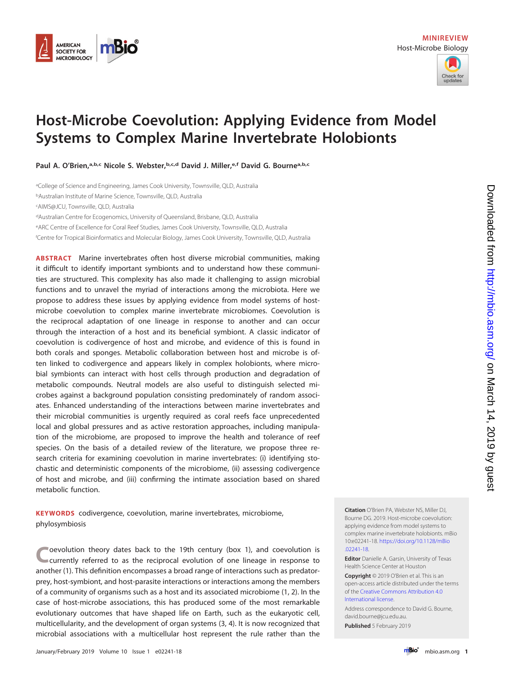



# **Host-Microbe Coevolution: Applying Evidence from Model Systems to Complex Marine Invertebrate Holobionts**

Paul A. O'Brien,<sup>a,b,c</sup> Nicole S. Webster,<sup>b,c,d</sup> David J. Miller,<sup>e,f</sup> David G. Bourne<sup>a,b,c</sup>

aCollege of Science and Engineering, James Cook University, Townsville, QLD, Australia

<sup>b</sup>Australian Institute of Marine Science, Townsville, QLD, Australia

c AIMS@JCU, Townsville, QLD, Australia

<sup>d</sup>Australian Centre for Ecogenomics, University of Queensland, Brisbane, QLD, Australia

<sup>e</sup>ARC Centre of Excellence for Coral Reef Studies, James Cook University, Townsville, QLD, Australia

f Centre for Tropical Bioinformatics and Molecular Biology, James Cook University, Townsville, QLD, Australia

**ABSTRACT** Marine invertebrates often host diverse microbial communities, making it difficult to identify important symbionts and to understand how these communities are structured. This complexity has also made it challenging to assign microbial functions and to unravel the myriad of interactions among the microbiota. Here we propose to address these issues by applying evidence from model systems of hostmicrobe coevolution to complex marine invertebrate microbiomes. Coevolution is the reciprocal adaptation of one lineage in response to another and can occur through the interaction of a host and its beneficial symbiont. A classic indicator of coevolution is codivergence of host and microbe, and evidence of this is found in both corals and sponges. Metabolic collaboration between host and microbe is often linked to codivergence and appears likely in complex holobionts, where microbial symbionts can interact with host cells through production and degradation of metabolic compounds. Neutral models are also useful to distinguish selected microbes against a background population consisting predominately of random associates. Enhanced understanding of the interactions between marine invertebrates and their microbial communities is urgently required as coral reefs face unprecedented local and global pressures and as active restoration approaches, including manipulation of the microbiome, are proposed to improve the health and tolerance of reef species. On the basis of a detailed review of the literature, we propose three research criteria for examining coevolution in marine invertebrates: (i) identifying stochastic and deterministic components of the microbiome, (ii) assessing codivergence of host and microbe, and (iii) confirming the intimate association based on shared metabolic function.

**KEYWORDS** codivergence, coevolution, marine invertebrates, microbiome, phylosymbiosis

**C**oevolution theory dates back to the 19th century (box 1), and coevolution is currently referred to as the reciprocal evolution of one lineage in response to another [\(1\)](#page-11-0). This definition encompasses a broad range of interactions such as predatorprey, host-symbiont, and host-parasite interactions or interactions among the members of a community of organisms such as a host and its associated microbiome [\(1,](#page-11-0) [2\)](#page-11-1). In the case of host-microbe associations, this has produced some of the most remarkable evolutionary outcomes that have shaped life on Earth, such as the eukaryotic cell, multicellularity, and the development of organ systems [\(3,](#page-11-2) [4\)](#page-11-3). It is now recognized that microbial associations with a multicellular host represent the rule rather than the **Citation** O'Brien PA, Webster NS, Miller DJ, Bourne DG. 2019. Host-microbe coevolution: applying evidence from model systems to complex marine invertebrate holobionts. mBio 10:e02241-18. [https://doi.org/10.1128/mBio](https://doi.org/10.1128/mBio.02241-18) [.02241-18.](https://doi.org/10.1128/mBio.02241-18)

**Editor** Danielle A. Garsin, University of Texas Health Science Center at Houston

**Copyright** © 2019 O'Brien et al. This is an open-access article distributed under the terms of the [Creative Commons Attribution 4.0](https://creativecommons.org/licenses/by/4.0/) [International](https://creativecommons.org/licenses/by/4.0/) license.

Address correspondence to David G. Bourne, [david.bourne@jcu.edu.au.](mailto:david.bourne@jcu.edu.au)

**Published** 5 February 2019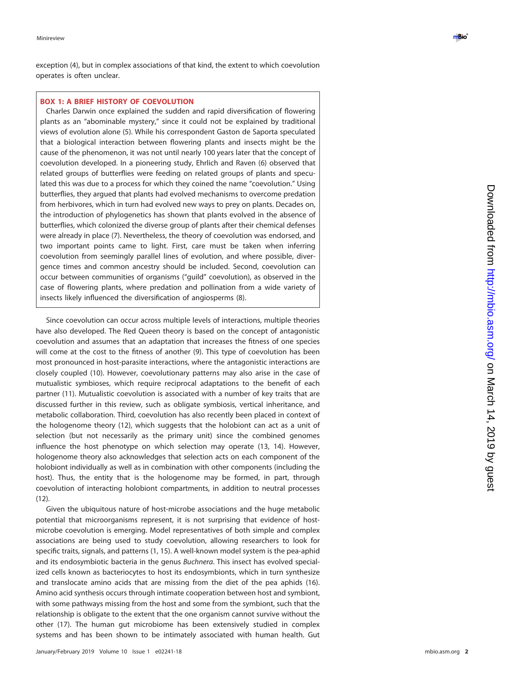exception ( [4\)](#page-11-3), but in complex associations of that kind, the extent to which coevolution operates is often unclear.

#### **BOX 1: A BRIEF HISTORY OF COEVOLUTION**

Charles Darwin once explained the sudden and rapid diversification of flowering plants as an "abominable mystery," since it could not be explained by traditional views of evolution alone ( [5\)](#page-11-4). While his correspondent Gaston de Saporta speculated that a biological interaction between flowering plants and insects might be the cause of the phenomenon, it was not until nearly 100 years later that the concept of coevolution developed. In a pioneering study, Ehrlich and Raven ( [6\)](#page-11-5) observed that related groups of butterflies were feeding on related groups of plants and speculated this was due to a process for which they coined the name "coevolution." Using butterflies, they argued that plants had evolved mechanisms to overcome predation from herbivores, which in turn had evolved new ways to prey on plants. Decades on, the introduction of phylogenetics has shown that plants evolved in the absence of butterflies, which colonized the diverse group of plants after their chemical defenses were already in place ( [7\)](#page-11-6). Nevertheless, the theory of coevolution was endorsed, and two important points came to light. First, care must be taken when inferring coevolution from seemingly parallel lines of evolution, and where possible, divergence times and common ancestry should be included. Second, coevolution can occur between communities of organisms ("guild" coevolution), as observed in the case of flowering plants, where predation and pollination from a wide variety of insects likely influenced the diversification of angiosperms ( [8\)](#page-11-7).

Since coevolution can occur across multiple levels of interactions, multiple theories have also developed. The Red Queen theory is based on the concept of antagonistic coevolution and assumes that an adaptation that increases the fitness of one species will come at the cost to the fitness of another ( [9\)](#page-11-8). This type of coevolution has been most pronounced in host-parasite interactions, where the antagonistic interactions are closely coupled [\(10\)](#page-11-9). However, coevolutionary patterns may also arise in the case of mutualistic symbioses, which require reciprocal adaptations to the benefit of each partner [\(11\)](#page-11-10). Mutualistic coevolution is associated with a number of key traits that are discussed further in this review, such as obligate symbiosis, vertical inheritance, and metabolic collaboration. Third, coevolution has also recently been placed in context of the hologenome theory [\(12\)](#page-11-11), which suggests that the holobiont can act as a unit of selection (but not necessarily as the primary unit) since the combined genomes influence the host phenotype on which selection may operate [\(13](#page-11-12) , [14\)](#page-11-13). However, hologenome theory also acknowledges that selection acts on each component of the holobiont individually as well as in combination with other components (including the host). Thus, the entity that is the hologenome may be formed, in part, through coevolution of interacting holobiont compartments, in addition to neutral processes [\(12\)](#page-11-11).

Given the ubiquitous nature of host-microbe associations and the huge metabolic potential that microorganisms represent, it is not surprising that evidence of hostmicrobe coevolution is emerging. Model representatives of both simple and complex associations are being used to study coevolution, allowing researchers to look for specific traits, signals, and patterns ( [1](#page-11-0) , [15\)](#page-11-14). A well-known model system is the pea-aphid and its endosymbiotic bacteria in the genus Buchnera. This insect has evolved specialized cells known as bacteriocytes to host its endosymbionts, which in turn synthesize and translocate amino acids that are missing from the diet of the pea aphids [\(16\)](#page-11-15). Amino acid synthesis occurs through intimate cooperation between host and symbiont, with some pathways missing from the host and some from the symbiont, such that the relationship is obligate to the extent that the one organism cannot survive without the other [\(17\)](#page-11-16). The human gut microbiome has been extensively studied in complex systems and has been shown to be intimately associated with human health. Gut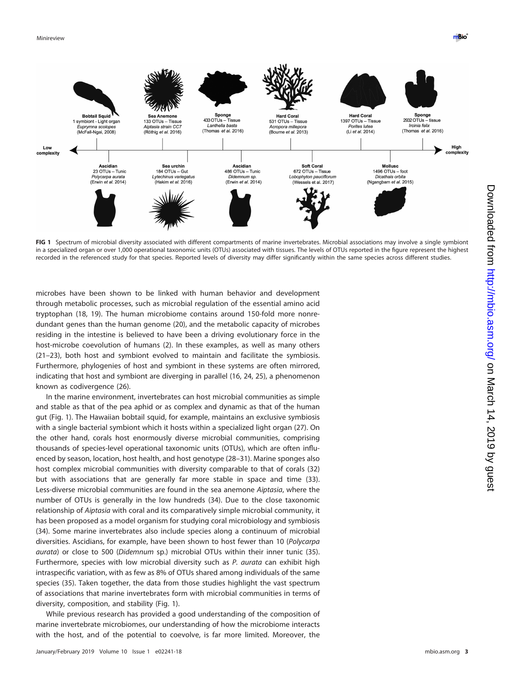

<span id="page-2-0"></span>FIG 1 Spectrum of microbial diversity associated with different compartments of marine invertebrates. Microbial associations may involve a single symbiont in a specialized organ or over 1,000 operational taxonomic units (OTUs) associated with tissues. The levels of OTUs reported in the figure represent the highest recorded in the referenced study for that species. Reported levels of diversity may differ significantly within the same species across different studies.

microbes have been shown to be linked with human behavior and development through metabolic processes, such as microbial regulation of the essential amino acid tryptophan [\(18,](#page-11-17) [19\)](#page-11-18). The human microbiome contains around 150-fold more nonredundant genes than the human genome [\(20\)](#page-11-19), and the metabolic capacity of microbes residing in the intestine is believed to have been a driving evolutionary force in the host-microbe coevolution of humans [\(2\)](#page-11-1). In these examples, as well as many others [\(21](#page-11-20)[–](#page-11-21)[23\)](#page-11-22), both host and symbiont evolved to maintain and facilitate the symbiosis. Furthermore, phylogenies of host and symbiont in these systems are often mirrored, indicating that host and symbiont are diverging in parallel [\(16,](#page-11-15) [24,](#page-11-23) [25\)](#page-11-24), a phenomenon known as codivergence [\(26\)](#page-11-25).

In the marine environment, invertebrates can host microbial communities as simple and stable as that of the pea aphid or as complex and dynamic as that of the human gut [\(Fig. 1\)](#page-2-0). The Hawaiian bobtail squid, for example, maintains an exclusive symbiosis with a single bacterial symbiont which it hosts within a specialized light organ [\(27\)](#page-11-26). On the other hand, corals host enormously diverse microbial communities, comprising thousands of species-level operational taxonomic units (OTUs), which are often influenced by season, location, host health, and host genotype [\(28](#page-11-27)[–](#page-11-28)[31\)](#page-12-0). Marine sponges also host complex microbial communities with diversity comparable to that of corals [\(32\)](#page-12-1) but with associations that are generally far more stable in space and time [\(33\)](#page-12-2). Less-diverse microbial communities are found in the sea anemone Aiptasia, where the number of OTUs is generally in the low hundreds [\(34\)](#page-12-3). Due to the close taxonomic relationship of Aiptasia with coral and its comparatively simple microbial community, it has been proposed as a model organism for studying coral microbiology and symbiosis [\(34\)](#page-12-3). Some marine invertebrates also include species along a continuum of microbial diversities. Ascidians, for example, have been shown to host fewer than 10 (Polycarpa aurata) or close to 500 (Didemnum sp.) microbial OTUs within their inner tunic [\(35\)](#page-12-4). Furthermore, species with low microbial diversity such as P. aurata can exhibit high intraspecific variation, with as few as 8% of OTUs shared among individuals of the same species [\(35\)](#page-12-4). Taken together, the data from those studies highlight the vast spectrum of associations that marine invertebrates form with microbial communities in terms of diversity, composition, and stability [\(Fig. 1\)](#page-2-0).

While previous research has provided a good understanding of the composition of marine invertebrate microbiomes, our understanding of how the microbiome interacts with the host, and of the potential to coevolve, is far more limited. Moreover, the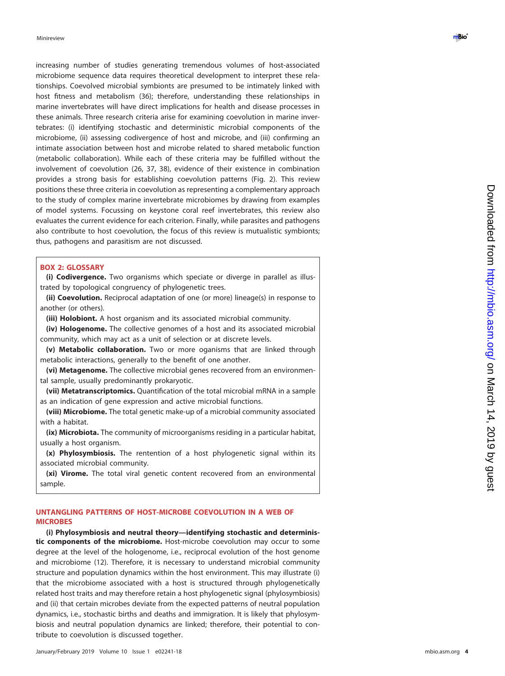increasing number of studies generating tremendous volumes of host-associated microbiome sequence data requires theoretical development to interpret these relationships. Coevolved microbial symbionts are presumed to be intimately linked with host fitness and metabolism [\(36\)](#page-12-5); therefore, understanding these relationships in marine invertebrates will have direct implications for health and disease processes in these animals. Three research criteria arise for examining coevolution in marine invertebrates: (i) identifying stochastic and deterministic microbial components of the microbiome, (ii) assessing codivergence of host and microbe, and (iii) confirming an intimate association between host and microbe related to shared metabolic function (metabolic collaboration). While each of these criteria may be fulfilled without the involvement of coevolution [\(26](#page-11-25) , [37](#page-12-6) , [38\)](#page-12-7), evidence of their existence in combination provides a strong basis for establishing coevolution patterns [\(Fig. 2\)](#page-4-0). This review positions these three criteria in coevolution as representing a complementary approach to the study of complex marine invertebrate microbiomes by drawing from examples of model systems. Focussing on keystone coral reef invertebrates, this review also evaluates the current evidence for each criterion. Finally, while parasites and pathogens also contribute to host coevolution, the focus of this review is mutualistic symbionts; thus, pathogens and parasitism are not discussed.

#### **BOX 2: GLOSSARY**

**(i) Codivergence.** Two organisms which speciate or diverge in parallel as illustrated by topological congruency of phylogenetic trees.

**(ii) Coevolution.** Reciprocal adaptation of one (or more) lineage(s) in response to another (or others).

**(iii) Holobiont.** A host organism and its associated microbial community.

**(iv) Hologenome.** The collective genomes of a host and its associated microbial community, which may act as a unit of selection or at discrete levels.

**(v) Metabolic collaboration.** Two or more oganisms that are linked through metabolic interactions, generally to the benefit of one another.

**(vi) Metagenome.** The collective microbial genes recovered from an environmental sample, usually predominantly prokaryotic.

**(vii) Metatranscriptomics.** Quantification of the total microbial mRNA in a sample as an indication of gene expression and active microbial functions.

**(viii) Microbiome.** The total genetic make-up of a microbial community associated with a habitat.

**(ix) Microbiota.** The community of microorganisms residing in a particular habitat, usually a host organism.

**(x) Phylosymbiosis.** The rentention of a host phylogenetic signal within its associated microbial community.

**(xi) Virome.** The total viral genetic content recovered from an environmental sample.

## **UNTANGLING PATTERNS OF HOST-MICROBE COEVOLUTION IN A WEB OF MICROBES**

**(i) Phylosymbiosis and neutral theory—identifying stochastic and deterministic components of the microbiome.** Host-microbe coevolution may occur to some degree at the level of the hologenome, i.e., reciprocal evolution of the host genome and microbiome [\(12\)](#page-11-11). Therefore, it is necessary to understand microbial community structure and population dynamics within the host environment. This may illustrate (i) that the microbiome associated with a host is structured through phylogenetically related host traits and may therefore retain a host phylogenetic signal (phylosymbiosis) and (ii) that certain microbes deviate from the expected patterns of neutral population dynamics, i.e., stochastic births and deaths and immigration. It is likely that phylosymbiosis and neutral population dynamics are linked; therefore, their potential to contribute to coevolution is discussed together.

mBio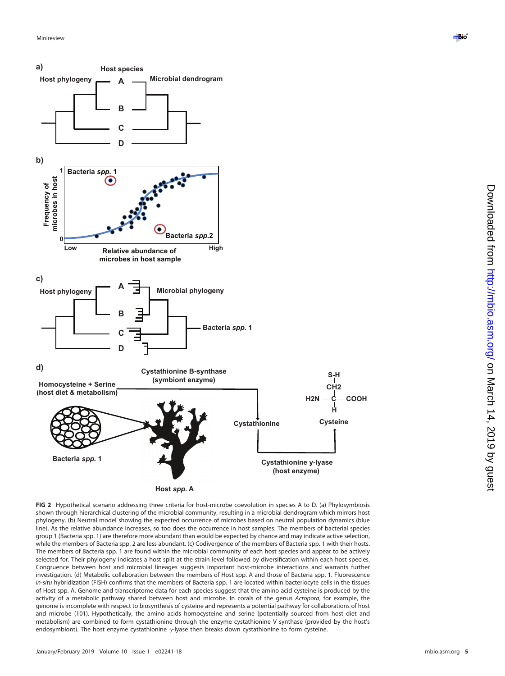

<span id="page-4-0"></span>**FIG 2** Hypothetical scenario addressing three criteria for host-microbe coevolution in species A to D. (a) Phylosymbiosis shown through hierarchical clustering of the microbial community, resulting in a microbial dendrogram which mirrors host phylogeny. (b) Neutral model showing the expected occurrence of microbes based on neutral population dynamics (blue line). As the relative abundance increases, so too does the occurrence in host samples. The members of bacterial species group 1 (Bacteria spp. 1) are therefore more abundant than would be expected by chance and may indicate active selection, while the members of Bacteria spp. 2 are less abundant. (c) Codivergence of the members of Bacteria spp. 1 with their hosts. The members of Bacteria spp. 1 are found within the microbial community of each host species and appear to be actively selected for. Their phylogeny indicates a host split at the strain level followed by diversification within each host species. Congruence between host and microbial lineages suggests important host-microbe interactions and warrants further investigation. (d) Metabolic collaboration between the members of Host spp. A and those of Bacteria spp. 1. Fluorescence in-situ hybridization (FISH) confirms that the members of Bacteria spp. 1 are located within bacteriocyte cells in the tissues of Host spp. A. Genome and transcriptome data for each species suggest that the amino acid cysteine is produced by the activity of a metabolic pathway shared between host and microbe. In corals of the genus Acropora, for example, the genome is incomplete with respect to biosynthesis of cysteine and represents a potential pathway for collaborations of host and microbe [\(101\)](#page-13-0). Hypothetically, the amino acids homocysteine and serine (potentially sourced from host diet and metabolism) are combined to form cystathionine through the enzyme cystathionine V synthase (provided by the host's endosymbiont). The host enzyme cystathionine y-lyase then breaks down cystathionine to form cysteine.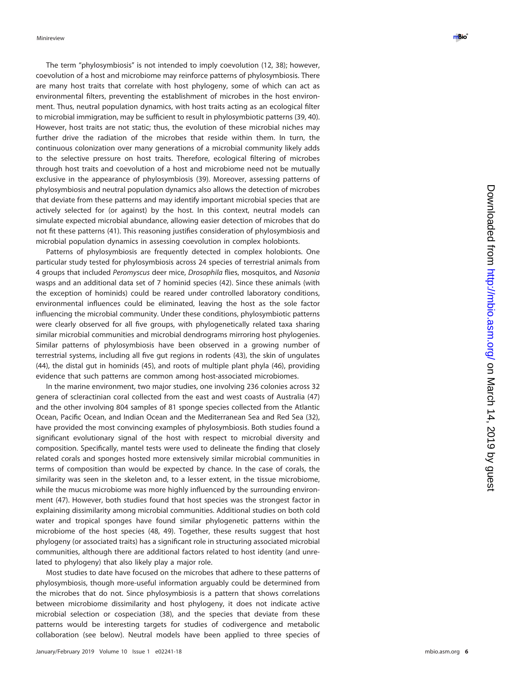The term "phylosymbiosis" is not intended to imply coevolution [\(12](#page-11-11) , [38\)](#page-12-7); however, coevolution of a host and microbiome may reinforce patterns of phylosymbiosis. There are many host traits that correlate with host phylogeny, some of which can act as environmental filters, preventing the establishment of microbes in the host environment. Thus, neutral population dynamics, with host traits acting as an ecological filter to microbial immigration, may be sufficient to result in phylosymbiotic patterns [\(39](#page-12-8) , [40\)](#page-12-9). However, host traits are not static; thus, the evolution of these microbial niches may further drive the radiation of the microbes that reside within them. In turn, the continuous colonization over many generations of a microbial community likely adds to the selective pressure on host traits. Therefore, ecological filtering of microbes through host traits and coevolution of a host and microbiome need not be mutually exclusive in the appearance of phylosymbiosis [\(39\)](#page-12-8). Moreover, assessing patterns of phylosymbiosis and neutral population dynamics also allows the detection of microbes that deviate from these patterns and may identify important microbial species that are actively selected for (or against) by the host. In this context, neutral models can simulate expected microbial abundance, allowing easier detection of microbes that do not fit these patterns [\(41\)](#page-12-10). This reasoning justifies consideration of phylosymbiosis and microbial population dynamics in assessing coevolution in complex holobionts.

Patterns of phylosymbiosis are frequently detected in complex holobionts. One particular study tested for phylosymbiosis across 24 species of terrestrial animals from 4 groups that included Peromyscus deer mice, Drosophila flies, mosquitos, and Nasonia wasps and an additional data set of 7 hominid species [\(42\)](#page-12-11). Since these animals (with the exception of hominids) could be reared under controlled laboratory conditions, environmental influences could be eliminated, leaving the host as the sole factor influencing the microbial community. Under these conditions, phylosymbiotic patterns were clearly observed for all five groups, with phylogenetically related taxa sharing similar microbial communities and microbial dendrograms mirroring host phylogenies. Similar patterns of phylosymbiosis have been observed in a growing number of terrestrial systems, including all five gut regions in rodents [\(43\)](#page-12-12), the skin of ungulates [\(44\)](#page-12-13), the distal gut in hominids [\(45\)](#page-12-14), and roots of multiple plant phyla [\(46\)](#page-12-15), providing evidence that such patterns are common among host-associated microbiomes.

In the marine environment, two major studies, one involving 236 colonies across 32 genera of scleractinian coral collected from the east and west coasts of Australia [\(47](#page-12-16) ) and the other involving 804 samples of 81 sponge species collected from the Atlantic Ocean, Pacific Ocean, and Indian Ocean and the Mediterranean Sea and Red Sea [\(32\)](#page-12-1), have provided the most convincing examples of phylosymbiosis. Both studies found a significant evolutionary signal of the host with respect to microbial diversity and composition. Specifically, mantel tests were used to delineate the finding that closely related corals and sponges hosted more extensively similar microbial communities in terms of composition than would be expected by chance. In the case of corals, the similarity was seen in the skeleton and, to a lesser extent, in the tissue microbiome, while the mucus microbiome was more highly influenced by the surrounding environment [\(47\)](#page-12-16). However, both studies found that host species was the strongest factor in explaining dissimilarity among microbial communities. Additional studies on both cold water and tropical sponges have found similar phylogenetic patterns within the microbiome of the host species [\(48](#page-12-17) , [49\)](#page-12-18). Together, these results suggest that host phylogeny (or associated traits) has a significant role in structuring associated microbial communities, although there are additional factors related to host identity (and unrelated to phylogeny) that also likely play a major role.

Most studies to date have focused on the microbes that adhere to these patterns of phylosymbiosis, though more-useful information arguably could be determined from the microbes that do not. Since phylosymbiosis is a pattern that shows correlations between microbiome dissimilarity and host phylogeny, it does not indicate active microbial selection or cospeciation [\(38\)](#page-12-7), and the species that deviate from these patterns would be interesting targets for studies of codivergence and metabolic collaboration (see below). Neutral models have been applied to three species of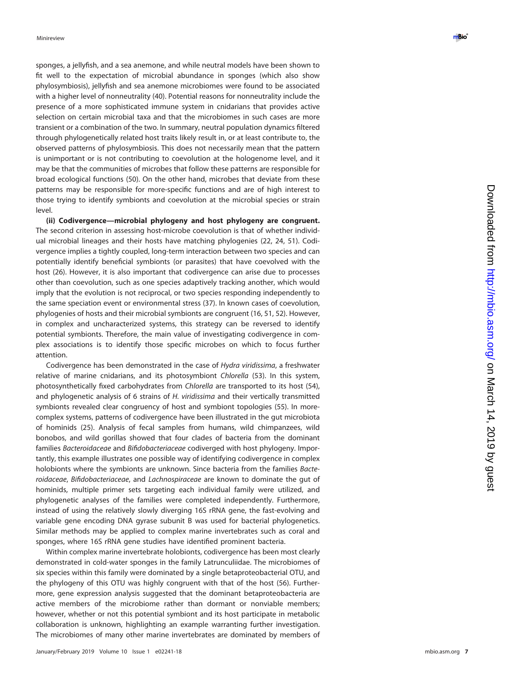sponges, a jellyfish, and a sea anemone, and while neutral models have been shown to fit well to the expectation of microbial abundance in sponges (which also show phylosymbiosis), jellyfish and sea anemone microbiomes were found to be associated with a higher level of nonneutrality [\(40\)](#page-12-9). Potential reasons for nonneutrality include the presence of a more sophisticated immune system in cnidarians that provides active selection on certain microbial taxa and that the microbiomes in such cases are more transient or a combination of the two. In summary, neutral population dynamics filtered through phylogenetically related host traits likely result in, or at least contribute to, the observed patterns of phylosymbiosis. This does not necessarily mean that the pattern is unimportant or is not contributing to coevolution at the hologenome level, and it may be that the communities of microbes that follow these patterns are responsible for broad ecological functions [\(50\)](#page-12-19). On the other hand, microbes that deviate from these patterns may be responsible for more-specific functions and are of high interest to those trying to identify symbionts and coevolution at the microbial species or strain level.

**(ii) Codivergence—microbial phylogeny and host phylogeny are congruent.** The second criterion in assessing host-microbe coevolution is that of whether individual microbial lineages and their hosts have matching phylogenies [\(22,](#page-11-21) [24,](#page-11-23) [51\)](#page-12-20). Codivergence implies a tightly coupled, long-term interaction between two species and can potentially identify beneficial symbionts (or parasites) that have coevolved with the host [\(26\)](#page-11-25). However, it is also important that codivergence can arise due to processes other than coevolution, such as one species adaptively tracking another, which would imply that the evolution is not reciprocal, or two species responding independently to the same speciation event or environmental stress [\(37\)](#page-12-6). In known cases of coevolution, phylogenies of hosts and their microbial symbionts are congruent [\(16](#page-11-15) , [51](#page-12-20) , [52\)](#page-12-21). However, in complex and uncharacterized systems, this strategy can be reversed to identify potential symbionts. Therefore, the main value of investigating codivergence in complex associations is to identify those specific microbes on which to focus further attention.

Codivergence has been demonstrated in the case of Hydra viridissima, a freshwater relative of marine cnidarians, and its photosymbiont Chlorella [\(53\)](#page-12-22). In this system, photosynthetically fixed carbohydrates from Chlorella are transported to its host [\(54\)](#page-12-23), and phylogenetic analysis of 6 strains of H. viridissima and their vertically transmitted symbionts revealed clear congruency of host and symbiont topologies [\(55\)](#page-12-24). In morecomplex systems, patterns of codivergence have been illustrated in the gut microbiota of hominids [\(25\)](#page-11-24). Analysis of fecal samples from humans, wild chimpanzees, wild bonobos, and wild gorillas showed that four clades of bacteria from the dominant families Bacteroidaceae and Bifidobacteriaceae codiverged with host phylogeny. Importantly, this example illustrates one possible way of identifying codivergence in complex holobionts where the symbionts are unknown. Since bacteria from the families Bacteroidaceae, Bifidobacteriaceae, and Lachnospiraceae are known to dominate the gut of hominids, multiple primer sets targeting each individual family were utilized, and phylogenetic analyses of the families were completed independently. Furthermore, instead of using the relatively slowly diverging 16S rRNA gene, the fast-evolving and variable gene encoding DNA gyrase subunit B was used for bacterial phylogenetics. Similar methods may be applied to complex marine invertebrates such as coral and sponges, where 16S rRNA gene studies have identified prominent bacteria.

Within complex marine invertebrate holobionts, codivergence has been most clearly demonstrated in cold-water sponges in the family Latrunculiidae. The microbiomes of six species within this family were dominated by a single betaproteobacterial OTU, and the phylogeny of this OTU was highly congruent with that of the host [\(56\)](#page-12-25). Furthermore, gene expression analysis suggested that the dominant betaproteobacteria are active members of the microbiome rather than dormant or nonviable members; however, whether or not this potential symbiont and its host participate in metabolic collaboration is unknown, highlighting an example warranting further investigation. The microbiomes of many other marine invertebrates are dominated by members of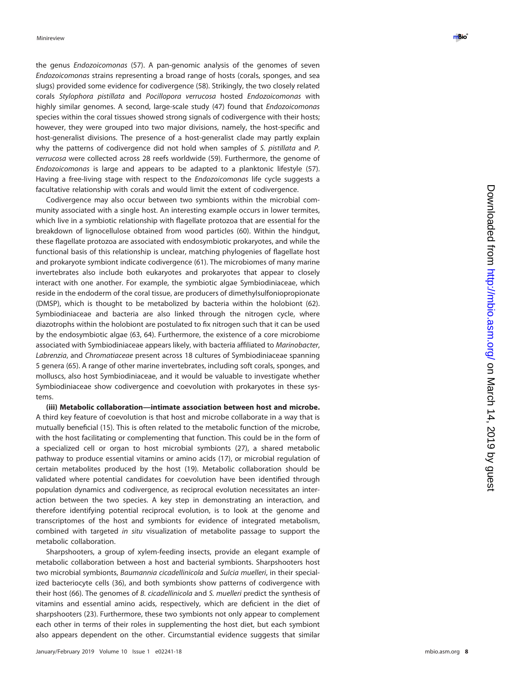the genus *Endozoicomonas* [\(57\)](#page-12-26). A pan-genomic analysis of the genomes of seven Endozoicomonas strains representing a broad range of hosts (corals, sponges, and sea slugs) provided some evidence for codivergence [\(58\)](#page-12-27). Strikingly, the two closely related corals Stylophora pistillata and Pocillopora verrucosa hosted Endozoicomonas with highly similar genomes. A second, large-scale study [\(47\)](#page-12-16) found that Endozoicomonas species within the coral tissues showed strong signals of codivergence with their hosts; however, they were grouped into two major divisions, namely, the host-specific and host-generalist divisions. The presence of a host-generalist clade may partly explain why the patterns of codivergence did not hold when samples of S. pistillata and P. verrucosa were collected across 28 reefs worldwide [\(59\)](#page-12-28). Furthermore, the genome of Endozoicomonas is large and appears to be adapted to a planktonic lifestyle [\(57\)](#page-12-26). Having a free-living stage with respect to the *Endozoicomonas* life cycle suggests a facultative relationship with corals and would limit the extent of codivergence.

Codivergence may also occur between two symbionts within the microbial community associated with a single host. An interesting example occurs in lower termites, which live in a symbiotic relationship with flagellate protozoa that are essential for the breakdown of lignocellulose obtained from wood particles [\(60\)](#page-12-29). Within the hindgut, these flagellate protozoa are associated with endosymbiotic prokaryotes, and while the functional basis of this relationship is unclear, matching phylogenies of flagellate host and prokaryote symbiont indicate codivergence [\(61\)](#page-12-30). The microbiomes of many marine invertebrates also include both eukaryotes and prokaryotes that appear to closely interact with one another. For example, the symbiotic algae Symbiodiniaceae, which reside in the endoderm of the coral tissue, are producers of dimethylsulfoniopropionate (DMSP), which is thought to be metabolized by bacteria within the holobiont [\(62\)](#page-12-31). Symbiodiniaceae and bacteria are also linked through the nitrogen cycle, where diazotrophs within the holobiont are postulated to fix nitrogen such that it can be used by the endosymbiotic algae [\(63](#page-12-32) , [64\)](#page-12-33). Furthermore, the existence of a core microbiome associated with Symbiodiniaceae appears likely, with bacteria affiliated to Marinobacter, Labrenzia, and Chromatiaceae present across 18 cultures of Symbiodiniaceae spanning 5 genera [\(65\)](#page-12-34). A range of other marine invertebrates, including soft corals, sponges, and molluscs, also host Symbiodiniaceae, and it would be valuable to investigate whether Symbiodiniaceae show codivergence and coevolution with prokaryotes in these systems.

**(iii) Metabolic collaboration—intimate association between host and microbe.** A third key feature of coevolution is that host and microbe collaborate in a way that is mutually beneficial [\(15\)](#page-11-14). This is often related to the metabolic function of the microbe, with the host facilitating or complementing that function. This could be in the form of a specialized cell or organ to host microbial symbionts [\(27\)](#page-11-26), a shared metabolic pathway to produce essential vitamins or amino acids [\(17\)](#page-11-16), or microbial regulation of certain metabolites produced by the host [\(19\)](#page-11-18). Metabolic collaboration should be validated where potential candidates for coevolution have been identified through population dynamics and codivergence, as reciprocal evolution necessitates an interaction between the two species. A key step in demonstrating an interaction, and therefore identifying potential reciprocal evolution, is to look at the genome and transcriptomes of the host and symbionts for evidence of integrated metabolism, combined with targeted in situ visualization of metabolite passage to support the metabolic collaboration.

Sharpshooters, a group of xylem-feeding insects, provide an elegant example of metabolic collaboration between a host and bacterial symbionts. Sharpshooters host two microbial symbionts, Baumannia cicadellinicola and Sulcia muelleri, in their specialized bacteriocyte cells [\(36\)](#page-12-5), and both symbionts show patterns of codivergence with their host [\(66\)](#page-12-35). The genomes of B. cicadellinicola and S. muelleri predict the synthesis of vitamins and essential amino acids, respectively, which are deficient in the diet of sharpshooters [\(23\)](#page-11-22). Furthermore, these two symbionts not only appear to complement each other in terms of their roles in supplementing the host diet, but each symbiont also appears dependent on the other. Circumstantial evidence suggests that similar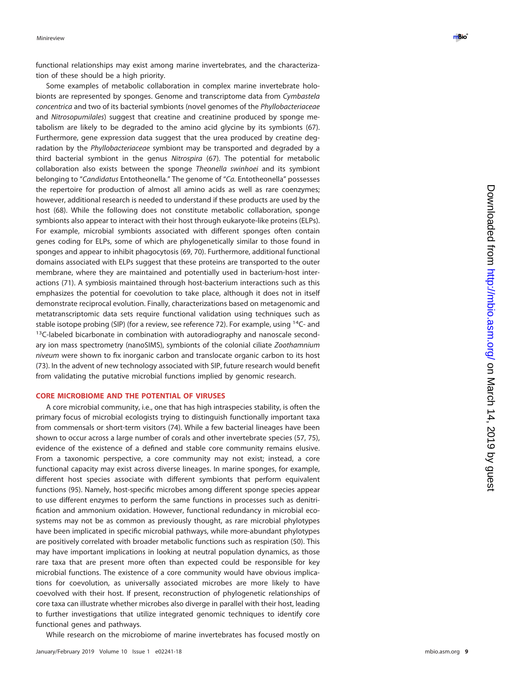functional relationships may exist among marine invertebrates, and the characterization of these should be a high priority.

Some examples of metabolic collaboration in complex marine invertebrate holobionts are represented by sponges. Genome and transcriptome data from Cymbastela concentrica and two of its bacterial symbionts (novel genomes of the Phyllobacteriaceae and Nitrosopumilales) suggest that creatine and creatinine produced by sponge metabolism are likely to be degraded to the amino acid glycine by its symbionts [\(67\)](#page-12-36). Furthermore, gene expression data suggest that the urea produced by creatine degradation by the Phyllobacteriaceae symbiont may be transported and degraded by a third bacterial symbiont in the genus Nitrospira [\(67\)](#page-12-36). The potential for metabolic collaboration also exists between the sponge Theonella swinhoei and its symbiont belonging to "Candidatus Entotheonella." The genome of "Ca. Entotheonella" possesses the repertoire for production of almost all amino acids as well as rare coenzymes; however, additional research is needed to understand if these products are used by the host [\(68\)](#page-12-37). While the following does not constitute metabolic collaboration, sponge symbionts also appear to interact with their host through eukaryote-like proteins (ELPs). For example, microbial symbionts associated with different sponges often contain genes coding for ELPs, some of which are phylogenetically similar to those found in sponges and appear to inhibit phagocytosis [\(69](#page-12-38) , [70\)](#page-13-1). Furthermore, additional functional domains associated with ELPs suggest that these proteins are transported to the outer membrane, where they are maintained and potentially used in bacterium-host interactions [\(71\)](#page-13-2). A symbiosis maintained through host-bacterium interactions such as this emphasizes the potential for coevolution to take place, although it does not in itself demonstrate reciprocal evolution. Finally, characterizations based on metagenomic and metatranscriptomic data sets require functional validation using techniques such as stable isotope probing (SIP) (for a review, see reference [72\)](#page-13-3). For example, using 14C- and <sup>13</sup>C-labeled bicarbonate in combination with autoradiography and nanoscale secondary ion mass spectrometry (nanoSIMS), symbionts of the colonial ciliate Zoothamnium niveum were shown to fix inorganic carbon and translocate organic carbon to its host [\(73\)](#page-13-4). In the advent of new technology associated with SIP, future research would benefit from validating the putative microbial functions implied by genomic research.

#### **CORE MICROBIOME AND THE POTENTIAL OF VIRUSES**

A core microbial community, i.e., one that has high intraspecies stability, is often the primary focus of microbial ecologists trying to distinguish functionally important taxa from commensals or short-term visitors [\(74\)](#page-13-5). While a few bacterial lineages have been shown to occur across a large number of corals and other invertebrate species [\(57](#page-12-26) , [75\)](#page-13-6), evidence of the existence of a defined and stable core community remains elusive. From a taxonomic perspective, a core community may not exist; instead, a core functional capacity may exist across diverse lineages. In marine sponges, for example, different host species associate with different symbionts that perform equivalent functions [\(95\)](#page-13-7). Namely, host-specific microbes among different sponge species appear to use different enzymes to perform the same functions in processes such as denitrification and ammonium oxidation. However, functional redundancy in microbial ecosystems may not be as common as previously thought, as rare microbial phylotypes have been implicated in specific microbial pathways, while more-abundant phylotypes are positively correlated with broader metabolic functions such as respiration [\(50\)](#page-12-19). This may have important implications in looking at neutral population dynamics, as those rare taxa that are present more often than expected could be responsible for key microbial functions. The existence of a core community would have obvious implications for coevolution, as universally associated microbes are more likely to have coevolved with their host. If present, reconstruction of phylogenetic relationships of core taxa can illustrate whether microbes also diverge in parallel with their host, leading to further investigations that utilize integrated genomic techniques to identify core functional genes and pathways.

While research on the microbiome of marine invertebrates has focused mostly on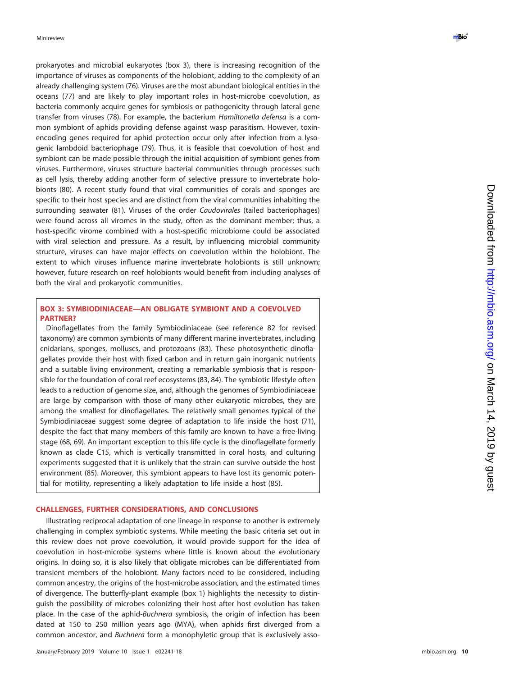prokaryotes and microbial eukaryotes (box 3), there is increasing recognition of the importance of viruses as components of the holobiont, adding to the complexity of an already challenging system [\(76\)](#page-13-8). Viruses are the most abundant biological entities in the oceans [\(77\)](#page-13-9) and are likely to play important roles in host-microbe coevolution, as bacteria commonly acquire genes for symbiosis or pathogenicity through lateral gene transfer from viruses [\(78\)](#page-13-10). For example, the bacterium Hamiltonella defensa is a common symbiont of aphids providing defense against wasp parasitism. However, toxinencoding genes required for aphid protection occur only after infection from a lysogenic lambdoid bacteriophage [\(79\)](#page-13-11). Thus, it is feasible that coevolution of host and symbiont can be made possible through the initial acquisition of symbiont genes from viruses. Furthermore, viruses structure bacterial communities through processes such as cell lysis, thereby adding another form of selective pressure to invertebrate holobionts [\(80\)](#page-13-12). A recent study found that viral communities of corals and sponges are specific to their host species and are distinct from the viral communities inhabiting the surrounding seawater [\(81\)](#page-13-13). Viruses of the order Caudovirales (tailed bacteriophages) were found across all viromes in the study, often as the dominant member; thus, a host-specific virome combined with a host-specific microbiome could be associated with viral selection and pressure. As a result, by influencing microbial community structure, viruses can have major effects on coevolution within the holobiont. The extent to which viruses influence marine invertebrate holobionts is still unknown; however, future research on reef holobionts would benefit from including analyses of both the viral and prokaryotic communities.

## **BOX 3: SYMBIODINIACEAE—AN OBLIGATE SYMBIONT AND A COEVOLVED PARTNER?**

Dinoflagellates from the family Symbiodiniaceae (see reference [82](#page-13-14) for revised taxonomy) are common symbionts of many different marine invertebrates, including cnidarians, sponges, molluscs, and protozoans [\(83\)](#page-13-15). These photosynthetic dinoflagellates provide their host with fixed carbon and in return gain inorganic nutrients and a suitable living environment, creating a remarkable symbiosis that is responsible for the foundation of coral reef ecosystems [\(83,](#page-13-15) [84\)](#page-13-16). The symbiotic lifestyle often leads to a reduction of genome size, and, although the genomes of Symbiodiniaceae are large by comparison with those of many other eukaryotic microbes, they are among the smallest for dinoflagellates. The relatively small genomes typical of the Symbiodiniaceae suggest some degree of adaptation to life inside the host [\(71\)](#page-13-2), despite the fact that many members of this family are known to have a free-living stage [\(68](#page-12-37) , [69\)](#page-12-38). An important exception to this life cycle is the dinoflagellate formerly known as clade C15, which is vertically transmitted in coral hosts, and culturing experiments suggested that it is unlikely that the strain can survive outside the host environment [\(85\)](#page-13-17). Moreover, this symbiont appears to have lost its genomic potential for motility, representing a likely adaptation to life inside a host [\(85\)](#page-13-17).

### **CHALLENGES, FURTHER CONSIDERATIONS, AND CONCLUSIONS**

Illustrating reciprocal adaptation of one lineage in response to another is extremely challenging in complex symbiotic systems. While meeting the basic criteria set out in this review does not prove coevolution, it would provide support for the idea of coevolution in host-microbe systems where little is known about the evolutionary origins. In doing so, it is also likely that obligate microbes can be differentiated from transient members of the holobiont. Many factors need to be considered, including common ancestry, the origins of the host-microbe association, and the estimated times of divergence. The butterfly-plant example (box 1) highlights the necessity to distinguish the possibility of microbes colonizing their host after host evolution has taken place. In the case of the aphid-Buchnera symbiosis, the origin of infection has been dated at 150 to 250 million years ago (MYA), when aphids first diverged from a common ancestor, and Buchnera form a monophyletic group that is exclusively asso-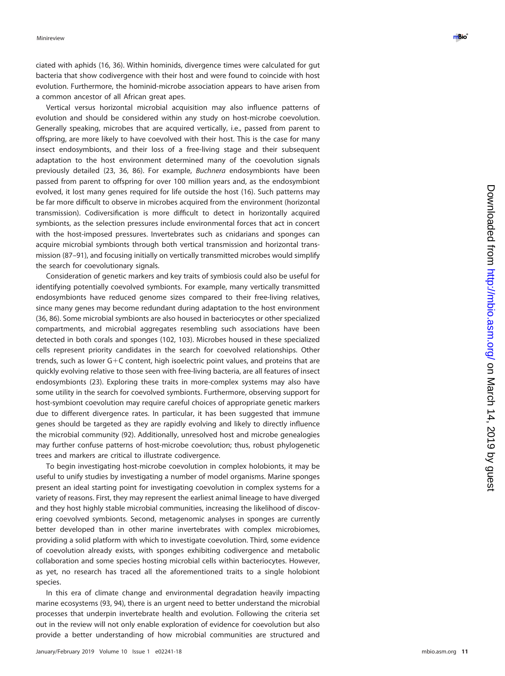ciated with aphids [\(16](#page-11-15) , [36\)](#page-12-5). Within hominids, divergence times were calculated for gut bacteria that show codivergence with their host and were found to coincide with host evolution. Furthermore, the hominid-microbe association appears to have arisen from a common ancestor of all African great apes.

Vertical versus horizontal microbial acquisition may also influence patterns of evolution and should be considered within any study on host-microbe coevolution. Generally speaking, microbes that are acquired vertically, i.e., passed from parent to offspring, are more likely to have coevolved with their host. This is the case for many insect endosymbionts, and their loss of a free-living stage and their subsequent adaptation to the host environment determined many of the coevolution signals previously detailed [\(23](#page-11-22), [36](#page-12-5), [86\)](#page-13-18). For example, Buchnera endosymbionts have been passed from parent to offspring for over 100 million years and, as the endosymbiont evolved, it lost many genes required for life outside the host [\(16\)](#page-11-15). Such patterns may be far more difficult to observe in microbes acquired from the environment (horizontal transmission). Codiversification is more difficult to detect in horizontally acquired symbionts, as the selection pressures include environmental forces that act in concert with the host-imposed pressures. Invertebrates such as cnidarians and sponges can acquire microbial symbionts through both vertical transmission and horizontal transmission [\(87](#page-13-19)[–](#page-13-20)[91\)](#page-13-21), and focusing initially on vertically transmitted microbes would simplify the search for coevolutionary signals.

Consideration of genetic markers and key traits of symbiosis could also be useful for identifying potentially coevolved symbionts. For example, many vertically transmitted endosymbionts have reduced genome sizes compared to their free-living relatives, since many genes may become redundant during adaptation to the host environment [\(36,](#page-12-5) [86\)](#page-13-18). Some microbial symbionts are also housed in bacteriocytes or other specialized compartments, and microbial aggregates resembling such associations have been detected in both corals and sponges [\(102](#page-13-22) , [103\)](#page-13-23). Microbes housed in these specialized cells represent priority candidates in the search for coevolved relationships. Other trends, such as lower  $G + C$  content, high isoelectric point values, and proteins that are quickly evolving relative to those seen with free-living bacteria, are all features of insect endosymbionts [\(23\)](#page-11-22). Exploring these traits in more-complex systems may also have some utility in the search for coevolved symbionts. Furthermore, observing support for host-symbiont coevolution may require careful choices of appropriate genetic markers due to different divergence rates. In particular, it has been suggested that immune genes should be targeted as they are rapidly evolving and likely to directly influence the microbial community [\(92\)](#page-13-24). Additionally, unresolved host and microbe genealogies may further confuse patterns of host-microbe coevolution; thus, robust phylogenetic trees and markers are critical to illustrate codivergence.

To begin investigating host-microbe coevolution in complex holobionts, it may be useful to unify studies by investigating a number of model organisms. Marine sponges present an ideal starting point for investigating coevolution in complex systems for a variety of reasons. First, they may represent the earliest animal lineage to have diverged and they host highly stable microbial communities, increasing the likelihood of discovering coevolved symbionts. Second, metagenomic analyses in sponges are currently better developed than in other marine invertebrates with complex microbiomes, providing a solid platform with which to investigate coevolution. Third, some evidence of coevolution already exists, with sponges exhibiting codivergence and metabolic collaboration and some species hosting microbial cells within bacteriocytes. However, as yet, no research has traced all the aforementioned traits to a single holobiont species.

In this era of climate change and environmental degradation heavily impacting marine ecosystems [\(93](#page-13-25) , [94\)](#page-13-26), there is an urgent need to better understand the microbial processes that underpin invertebrate health and evolution. Following the criteria set out in the review will not only enable exploration of evidence for coevolution but also provide a better understanding of how microbial communities are structured and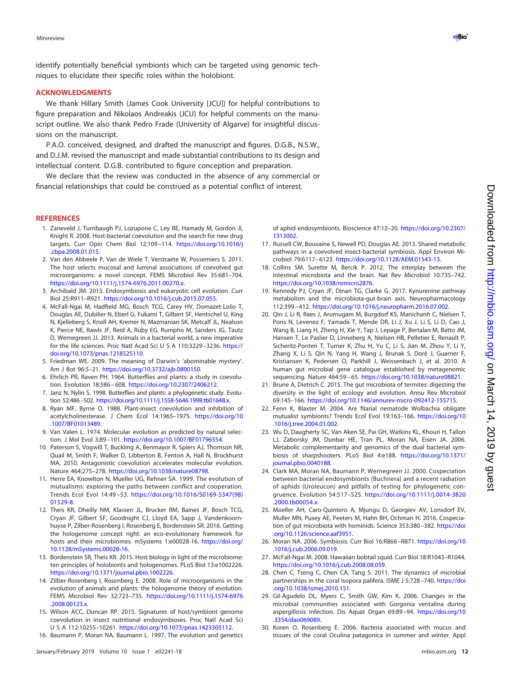identify potentially beneficial symbionts which can be targeted using genomic techniques to elucidate their specific roles within the holobiont.

#### **ACKNOWLEDGMENTS**

We thank Hillary Smith (James Cook University [JCU]) for helpful contributions to figure preparation and Nikolaos Andreakis (JCU) for helpful comments on the manuscript outline. We also thank Pedro Frade (University of Algarve) for insightful discussions on the manuscript.

P.A.O. conceived, designed, and drafted the manuscript and figures. D.G.B., N.S.W., and D.J.M. revised the manuscript and made substantial contributions to its design and intellectual content. D.G.B. contributed to figure conception and preparation.

We declare that the review was conducted in the absence of any commercial or financial relationships that could be construed as a potential conflict of interest.

#### <span id="page-11-0"></span>**REFERENCES**

- 1. Zaneveld J, Turnbaugh PJ, Lozupone C, Ley RE, Hamady M, Gordon JI, Knight R. 2008. Host-bacterial coevolution and the search for new drug targets. Curr Opin Chem Biol 12:109 –114. [https://doi.org/10.1016/j](https://doi.org/10.1016/j.cbpa.2008.01.015) [.cbpa.2008.01.015.](https://doi.org/10.1016/j.cbpa.2008.01.015)
- <span id="page-11-1"></span>2. Van den Abbeele P, Van de Wiele T, Verstraete W, Possemiers S. 2011. The host selects mucosal and luminal associations of coevolved gut microorganisms: a novel concept. FEMS Microbiol Rev 35:681–704. [https://doi.org/10.1111/j.1574-6976.2011.00270.x.](https://doi.org/10.1111/j.1574-6976.2011.00270.x)
- <span id="page-11-3"></span><span id="page-11-2"></span>3. Archibald JM. 2015. Endosymbiosis and eukaryotic cell evolution. Curr Biol 25:R911–R921. [https://doi.org/10.1016/j.cub.2015.07.055.](https://doi.org/10.1016/j.cub.2015.07.055)
- 4. McFall-Ngai M, Hadfield MG, Bosch TCG, Carey HV, Domazet-Lošo T, Douglas AE, Dubilier N, Eberl G, Fukami T, Gilbert SF, Hentschel U, King N, Kjelleberg S, Knoll AH, Kremer N, Mazmanian SK, Metcalf JL, Nealson K, Pierce NE, Rawls JF, Reid A, Ruby EG, Rumpho M, Sanders JG, Tautz D, Wernegreen JJ. 2013. Animals in a bacterial world, a new imperative for the life sciences. Proc Natl Acad Sci U S A 110:3229-3236. [https://](https://doi.org/10.1073/pnas.1218525110) [doi.org/10.1073/pnas.1218525110.](https://doi.org/10.1073/pnas.1218525110)
- <span id="page-11-5"></span><span id="page-11-4"></span>5. Friedman WE. 2009. The meaning of Darwin's 'abominable mystery'. Am J Bot 96:5–21. [https://doi.org/10.3732/ajb.0800150.](https://doi.org/10.3732/ajb.0800150)
- <span id="page-11-6"></span>6. Ehrlich PR, Raven PH. 1964. Butterflies and plants: a study in coevolution. Evolution 18:586 – 608. [https://doi.org/10.2307/2406212.](https://doi.org/10.2307/2406212)
- <span id="page-11-7"></span>7. Janz N, Nylin S. 1998. Butterflies and plants: a phylogenetic study. Evolution 52:486 –502. [https://doi.org/10.1111/j.1558-5646.1998.tb01648.x.](https://doi.org/10.1111/j.1558-5646.1998.tb01648.x)
- 8. Ryan MF, Byrne O. 1988. Plant-insect coevolution and inhibition of acetylcholinesterase. J Chem Ecol 14:1965–1975. [https://doi.org/10](https://doi.org/10.1007/BF01013489) [.1007/BF01013489.](https://doi.org/10.1007/BF01013489)
- <span id="page-11-9"></span><span id="page-11-8"></span>9. Van Valen L. 1974. Molecular evolution as predicted by natural selection. J Mol Evol 3:89 –101. [https://doi.org/10.1007/BF01796554.](https://doi.org/10.1007/BF01796554)
- 10. Paterson S, Vogwill T, Buckling A, Benmayor R, Spiers AJ, Thomson NR, Quail M, Smith F, Walker D, Libberton B, Fenton A, Hall N, Brockhurst MA. 2010. Antagonistic coevolution accelerates molecular evolution. Nature 464:275–278. [https://doi.org/10.1038/nature08798.](https://doi.org/10.1038/nature08798)
- <span id="page-11-10"></span>11. Herre EA, Knowlton N, Mueller UG, Rehner SA. 1999. The evolution of mutualisms: exploring the paths between conflict and cooperation. Trends Ecol Evol 14:49 –53. [https://doi.org/10.1016/S0169-5347\(98\)](https://doi.org/10.1016/S0169-5347(98)01529-8) [01529-8.](https://doi.org/10.1016/S0169-5347(98)01529-8)
- <span id="page-11-11"></span>12. Theis KR, Dheilly NM, Klassen JL, Brucker RM, Baines JF, Bosch TCG, Cryan JF, Gilbert SF, Goodnight CJ, Lloyd EA, Sapp J, Vandenkoornhuyse P, Zilber-Rosenberg I, Rosenberg E, Bordenstein SR. 2016. Getting the hologenome concept right: an eco-evolutionary framework for hosts and their microbiomes. mSystems 1:e00028-16. [https://doi.org/](https://doi.org/10.1128/mSystems.00028-16) [10.1128/mSystems.00028-16.](https://doi.org/10.1128/mSystems.00028-16)
- <span id="page-11-13"></span><span id="page-11-12"></span>13. Bordenstein SR, Theis KR. 2015. Host biology in light of the microbiome: ten principles of holobionts and hologenomes. PLoS Biol 13:e1002226. [https://doi.org/10.1371/journal.pbio.1002226.](https://doi.org/10.1371/journal.pbio.1002226)
- 14. Zilber-Rosenberg I, Rosenberg E. 2008. Role of microorganisms in the evolution of animals and plants: the hologenome theory of evolution. FEMS Microbiol Rev 32:723–735. [https://doi.org/10.1111/j.1574-6976](https://doi.org/10.1111/j.1574-6976.2008.00123.x) [.2008.00123.x.](https://doi.org/10.1111/j.1574-6976.2008.00123.x)
- <span id="page-11-15"></span><span id="page-11-14"></span>15. Wilson ACC, Duncan RP. 2015. Signatures of host/symbiont genome coevolution in insect nutritional endosymbioses. Proc Natl Acad Sci U S A 112:10255–10261. [https://doi.org/10.1073/pnas.1423305112.](https://doi.org/10.1073/pnas.1423305112)
- 16. Baumann P, Moran NA, Baumann L. 1997. The evolution and genetics

of aphid endosymbionts. Bioscience 47:12–20. [https://doi.org/10.2307/](https://doi.org/10.2307/1313002) [1313002.](https://doi.org/10.2307/1313002)

- <span id="page-11-16"></span>17. Russell CW, Bouvaine S, Newell PD, Douglas AE. 2013. Shared metabolic pathways in a coevolved insect-bacterial symbiosis. Appl Environ Microbiol 79:6117– 6123. [https://doi.org/10.1128/AEM.01543-13.](https://doi.org/10.1128/AEM.01543-13)
- <span id="page-11-17"></span>18. Collins SM, Surette M, Bercik P. 2012. The interplay between the intestinal microbiota and the brain. Nat Rev Microbiol 10:735–742. [https://doi.org/10.1038/nrmicro2876.](https://doi.org/10.1038/nrmicro2876)
- <span id="page-11-18"></span>19. Kennedy PJ, Cryan JF, Dinan TG, Clarke G. 2017. Kynurenine pathway metabolism and the microbiota-gut-brain axis. Neuropharmacology 112:399 – 412. [https://doi.org/10.1016/j.neuropharm.2016.07.002.](https://doi.org/10.1016/j.neuropharm.2016.07.002)
- <span id="page-11-19"></span>20. Qin J, Li R, Raes J, Arumugam M, Burgdorf KS, Manichanh C, Nielsen T, Pons N, Levenez F, Yamada T, Mende DR, Li J, Xu J, Li S, Li D, Cao J, Wang B, Liang H, Zheng H, Xie Y, Tap J, Lepage P, Bertalan M, Batto JM, Hansen T, Le Paslier D, Linneberg A, Nielsen HB, Pelletier E, Renault P, Sicheritz-Ponten T, Turner K, Zhu H, Yu C, Li S, Jian M, Zhou Y, Li Y, Zhang X, Li S, Qin N, Yang H, Wang J, Brunak S, Doré J, Guarner F, Kristiansen K, Pedersen O, Parkhill J, Weissenbach J, et al. 2010. A human gut microbial gene catalogue established by metagenomic sequencing. Nature 464:59 – 65. [https://doi.org/10.1038/nature08821.](https://doi.org/10.1038/nature08821)
- <span id="page-11-20"></span>21. Brune A, Dietrich C. 2015. The gut microbiota of termites: digesting the diversity in the light of ecology and evolution. Annu Rev Microbiol 69:145–166. [https://doi.org/10.1146/annurev-micro-092412-155715.](https://doi.org/10.1146/annurev-micro-092412-155715)
- <span id="page-11-21"></span>22. Fenn K, Blaxter M. 2004. Are filarial nematode Wolbachia obligate mutualist symbionts? Trends Ecol Evol 19:163–166. [https://doi.org/10](https://doi.org/10.1016/j.tree.2004.01.002) [.1016/j.tree.2004.01.002.](https://doi.org/10.1016/j.tree.2004.01.002)
- <span id="page-11-22"></span>23. Wu D, Daugherty SC, Van Aken SE, Pai GH, Watkins KL, Khouri H, Tallon LJ, Zaborsky JM, Dunbar HE, Tran PL, Moran NA, Eisen JA. 2006. Metabolic complementarity and genomics of the dual bacterial symbiosis of sharpshooters. PLoS Biol 4:e188. [https://doi.org/10.1371/](https://doi.org/10.1371/journal.pbio.0040188) [journal.pbio.0040188.](https://doi.org/10.1371/journal.pbio.0040188)
- <span id="page-11-23"></span>24. Clark MA, Moran NA, Baumann P, Wernegreen JJ. 2000. Cospeciation between bacterial endosymbionts (Buchnera) and a recent radiation of aphids (Uroleucon) and pitfalls of testing for phylogenetic congruence. Evolution 54:517–525. [https://doi.org/10.1111/j.0014-3820](https://doi.org/10.1111/j.0014-3820.2000.tb00054.x) [.2000.tb00054.x.](https://doi.org/10.1111/j.0014-3820.2000.tb00054.x)
- <span id="page-11-24"></span>25. Moeller AH, Caro-Quintero A, Mjungu D, Georgiev AV, Lonsdorf EV, Muller MN, Pusey AE, Peeters M, Hahn BH, Ochman H. 2016. Cospeciation of gut microbiota with hominids. Science 353:380 –382. [https://doi](https://doi.org/10.1126/science.aaf3951) [.org/10.1126/science.aaf3951.](https://doi.org/10.1126/science.aaf3951)
- <span id="page-11-26"></span><span id="page-11-25"></span>26. Moran NA. 2006. Symbiosis. Curr Biol 16:R866 –R871. [https://doi.org/10](https://doi.org/10.1016/j.cub.2006.09.019) [.1016/j.cub.2006.09.019.](https://doi.org/10.1016/j.cub.2006.09.019)
- <span id="page-11-27"></span>27. McFall-Ngai M. 2008. Hawaiian bobtail squid. Curr Biol 18:R1043–R1044. [https://doi.org/10.1016/j.cub.2008.08.059.](https://doi.org/10.1016/j.cub.2008.08.059)
- 28. Chen C, Tseng C, Chen CA, Tang S. 2011. The dynamics of microbial partnerships in the coral Isopora palifera. ISME J 5:728-740. [https://doi](https://doi.org/10.1038/ismej.2010.151) [.org/10.1038/ismej.2010.151.](https://doi.org/10.1038/ismej.2010.151)
- 29. Gil-Agudelo DL, Myers C, Smith GW, Kim K. 2006. Changes in the microbial communities associated with Gorgonia ventalina during aspergillosis infection. Dis Aquat Organ 69:89 –94. [https://doi.org/10](https://doi.org/10.3354/dao069089) [.3354/dao069089.](https://doi.org/10.3354/dao069089)
- <span id="page-11-28"></span>30. Koren O, Rosenberg E. 2006. Bacteria associated with mucus and tissues of the coral Oculina patagonica in summer and winter. Appl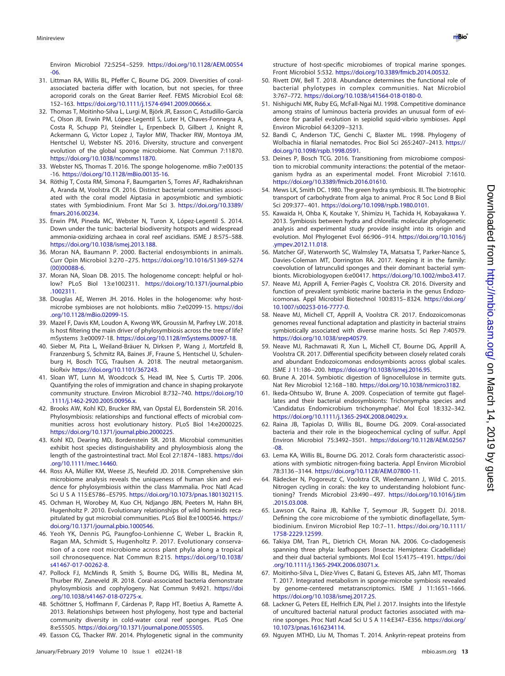Environ Microbiol 72:5254 –5259. [https://doi.org/10.1128/AEM.00554](https://doi.org/10.1128/AEM.00554-06) [-06.](https://doi.org/10.1128/AEM.00554-06)

- <span id="page-12-0"></span>31. Littman RA, Willis BL, Pfeffer C, Bourne DG. 2009. Diversities of coralassociated bacteria differ with location, but not species, for three acroporid corals on the Great Barrier Reef. FEMS Microbiol Ecol 68: 152–163. [https://doi.org/10.1111/j.1574-6941.2009.00666.x.](https://doi.org/10.1111/j.1574-6941.2009.00666.x)
- <span id="page-12-1"></span>32. Thomas T, Moitinho-Silva L, Lurgi M, Björk JR, Easson C, Astudillo-García C, Olson JB, Erwin PM, López-Legentil S, Luter H, Chaves-Fonnegra A, Costa R, Schupp PJ, Steindler L, Erpenbeck D, Gilbert J, Knight R, Ackermann G, Victor Lopez J, Taylor MW, Thacker RW, Montoya JM, Hentschel U, Webster NS. 2016. Diversity, structure and convergent evolution of the global sponge microbiome. Nat Commun 7:11870. [https://doi.org/10.1038/ncomms11870.](https://doi.org/10.1038/ncomms11870)
- <span id="page-12-3"></span><span id="page-12-2"></span>33. Webster NS, Thomas T. 2016. The sponge hologenome. mBio 7:e00135 -16. [https://doi.org/10.1128/mBio.00135-16.](https://doi.org/10.1128/mBio.00135-16)
- 34. Röthig T, Costa RM, Simona F, Baumgarten S, Torres AF, Radhakrishnan A, Aranda M, Voolstra CR. 2016. Distinct bacterial communities associated with the coral model Aiptasia in aposymbiotic and symbiotic states with Symbiodinium. Front Mar Sci 3. [https://doi.org/10.3389/](https://doi.org/10.3389/fmars.2016.00234) [fmars.2016.00234.](https://doi.org/10.3389/fmars.2016.00234)
- <span id="page-12-4"></span>35. Erwin PM, Pineda MC, Webster N, Turon X, López-Legentil S. 2014. Down under the tunic: bacterial biodiversity hotspots and widespread ammonia-oxidizing archaea in coral reef ascidians. ISME J 8:575–588. [https://doi.org/10.1038/ismej.2013.188.](https://doi.org/10.1038/ismej.2013.188)
- <span id="page-12-5"></span>36. Moran NA, Baumann P. 2000. Bacterial endosymbionts in animals. Curr Opin Microbiol 3:270 –275. [https://doi.org/10.1016/S1369-5274](https://doi.org/10.1016/S1369-5274(00)00088-6) [\(00\)00088-6.](https://doi.org/10.1016/S1369-5274(00)00088-6)
- <span id="page-12-6"></span>37. Moran NA, Sloan DB. 2015. The hologenome concept: helpful or hollow? PLoS Biol 13:e1002311. [https://doi.org/10.1371/journal.pbio](https://doi.org/10.1371/journal.pbio.1002311) [.1002311.](https://doi.org/10.1371/journal.pbio.1002311)
- <span id="page-12-7"></span>38. Douglas AE, Werren JH. 2016. Holes in the hologenome: why hostmicrobe symbioses are not holobionts. mBio 7:e02099-15. [https://doi](https://doi.org/10.1128/mBio.02099-15) [.org/10.1128/mBio.02099-15.](https://doi.org/10.1128/mBio.02099-15)
- <span id="page-12-8"></span>39. Mazel F, Davis KM, Loudon A, Kwong WK, Groussin M, Parfrey LW. 2018. Is host filtering the main driver of phylosymbiosis across the tree of life? mSystems 3:e00097-18. [https://doi.org/10.1128/mSystems.00097-18.](https://doi.org/10.1128/mSystems.00097-18)
- <span id="page-12-9"></span>40. Sieber M, Pita L, Weiland-Bräuer N, Dirksen P, Wang J, Mortzfeld B, Franzenburg S, Schmitz RA, Baines JF, Fraune S, Hentschel U, Schulenburg H, Bosch TCG, Traulsen A. 2018. The neutral metaorganism. bioRxiv [https://doi.org/10.1101/367243.](https://doi.org/10.1101/367243)
- <span id="page-12-10"></span>41. Sloan WT, Lunn M, Woodcock S, Head IM, Nee S, Curtis TP. 2006. Quantifying the roles of immigration and chance in shaping prokaryote community structure. Environ Microbiol 8:732–740. [https://doi.org/10](https://doi.org/10.1111/j.1462-2920.2005.00956.x) [.1111/j.1462-2920.2005.00956.x.](https://doi.org/10.1111/j.1462-2920.2005.00956.x)
- <span id="page-12-11"></span>42. Brooks AW, Kohl KD, Brucker RM, van Opstal EJ, Bordenstein SR. 2016. Phylosymbiosis: relationships and functional effects of microbial communities across host evolutionary history. PLoS Biol 14:e2000225. [https://doi.org/10.1371/journal.pbio.2000225.](https://doi.org/10.1371/journal.pbio.2000225)
- <span id="page-12-12"></span>43. Kohl KD, Dearing MD, Bordenstein SR. 2018. Microbial communities exhibit host species distinguishability and phylosymbiosis along the length of the gastrointestinal tract. Mol Ecol 27:1874 –1883. [https://doi](https://doi.org/10.1111/mec.14460) [.org/10.1111/mec.14460.](https://doi.org/10.1111/mec.14460)
- <span id="page-12-13"></span>44. Ross AA, Müller KM, Weese JS, Neufeld JD. 2018. Comprehensive skin microbiome analysis reveals the uniqueness of human skin and evidence for phylosymbiosis within the class Mammalia. Proc Natl Acad Sci U S A 115:E5786 –E5795. [https://doi.org/10.1073/pnas.1801302115.](https://doi.org/10.1073/pnas.1801302115)
- <span id="page-12-14"></span>45. Ochman H, Worobey M, Kuo CH, Ndjango JBN, Peeters M, Hahn BH, Hugenholtz P. 2010. Evolutionary relationships of wild hominids recapitulated by gut microbial communities. PLoS Biol 8:e1000546. [https://](https://doi.org/10.1371/journal.pbio.1000546) [doi.org/10.1371/journal.pbio.1000546.](https://doi.org/10.1371/journal.pbio.1000546)
- <span id="page-12-15"></span>46. Yeoh YK, Dennis PG, Paungfoo-Lonhienne C, Weber L, Brackin R, Ragan MA, Schmidt S, Hugenholtz P. 2017. Evolutionary conservation of a core root microbiome across plant phyla along a tropical soil chronosequence. Nat Commun 8:215. [https://doi.org/10.1038/](https://doi.org/10.1038/s41467-017-00262-8) [s41467-017-00262-8.](https://doi.org/10.1038/s41467-017-00262-8)
- <span id="page-12-16"></span>47. Pollock FJ, McMinds R, Smith S, Bourne DG, Willis BL, Medina M, Thurber RV, Zaneveld JR. 2018. Coral-associated bacteria demonstrate phylosymbiosis and cophylogeny. Nat Commun 9:4921. [https://doi](https://doi.org/10.1038/s41467-018-07275-x) [.org/10.1038/s41467-018-07275-x.](https://doi.org/10.1038/s41467-018-07275-x)
- <span id="page-12-17"></span>48. Schöttner S, Hoffmann F, Cárdenas P, Rapp HT, Boetius A, Ramette A. 2013. Relationships between host phylogeny, host type and bacterial community diversity in cold-water coral reef sponges. PLoS One 8:e55505. [https://doi.org/10.1371/journal.pone.0055505.](https://doi.org/10.1371/journal.pone.0055505)
- <span id="page-12-18"></span>49. Easson CG, Thacker RW. 2014. Phylogenetic signal in the community
- <span id="page-12-19"></span>50. Rivett DW, Bell T. 2018. Abundance determines the functional role of bacterial phylotypes in complex communities. Nat Microbiol 3:767–772. [https://doi.org/10.1038/s41564-018-0180-0.](https://doi.org/10.1038/s41564-018-0180-0)
- <span id="page-12-20"></span>51. Nishiguchi MK, Ruby EG, McFall-Ngai MJ. 1998. Competitive dominance among strains of luminous bacteria provides an unusual form of evidence for parallel evolution in sepiolid squid-vibrio symbioses. Appl Environ Microbiol 64:3209 –3213.
- <span id="page-12-21"></span>52. Bandi C, Anderson TJC, Genchi C, Blaxter ML. 1998. Phylogeny of Wolbachia in filarial nematodes. Proc Biol Sci 265:2407–2413. [https://](https://doi.org/10.1098/rspb.1998.0591) [doi.org/10.1098/rspb.1998.0591.](https://doi.org/10.1098/rspb.1998.0591)
- <span id="page-12-22"></span>53. Deines P, Bosch TCG. 2016. Transitioning from microbiome composition to microbial community interactions: the potential of the metaorganism hydra as an experimental model. Front Microbiol 7:1610. [https://doi.org/10.3389/fmicb.2016.01610.](https://doi.org/10.3389/fmicb.2016.01610)
- <span id="page-12-23"></span>54. Mews LK, Smith DC. 1980. The green hydra symbiosis. III. The biotrophic transport of carbohydrate from alga to animal. Proc R Soc Lond B Biol Sci 209:377– 401. [https://doi.org/10.1098/rspb.1980.0101.](https://doi.org/10.1098/rspb.1980.0101)
- <span id="page-12-24"></span>55. Kawaida H, Ohba K, Koutake Y, Shimizu H, Tachida H, Kobayakawa Y. 2013. Symbiosis between hydra and chlorella: molecular phylogenetic analysis and experimental study provide insight into its origin and evolution. Mol Phylogenet Evol 66:906 –914. [https://doi.org/10.1016/j](https://doi.org/10.1016/j.ympev.2012.11.018) [.ympev.2012.11.018.](https://doi.org/10.1016/j.ympev.2012.11.018)
- <span id="page-12-25"></span>56. Matcher GF, Waterworth SC, Walmsley TA, Matsatsa T, Parker-Nance S, Davies-Coleman MT, Dorrington RA. 2017. Keeping it in the family: coevolution of latrunculid sponges and their dominant bacterial symbionts. Microbiologyopen 6:e00417. [https://doi.org/10.1002/mbo3.417.](https://doi.org/10.1002/mbo3.417)
- <span id="page-12-26"></span>57. Neave MJ, Apprill A, Ferrier-Pagès C, Voolstra CR. 2016. Diversity and function of prevalent symbiotic marine bacteria in the genus Endozoicomonas. Appl Microbiol Biotechnol 100:8315– 8324. [https://doi.org/](https://doi.org/10.1007/s00253-016-7777-0) [10.1007/s00253-016-7777-0.](https://doi.org/10.1007/s00253-016-7777-0)
- <span id="page-12-27"></span>58. Neave MJ, Michell CT, Apprill A, Voolstra CR. 2017. Endozoicomonas genomes reveal functional adaptation and plasticity in bacterial strains symbiotically associated with diverse marine hosts. Sci Rep 7:40579. [https://doi.org/10.1038/srep40579.](https://doi.org/10.1038/srep40579)
- <span id="page-12-28"></span>59. Neave MJ, Rachmawati R, Xun L, Michell CT, Bourne DG, Apprill A, Voolstra CR. 2017. Differential specificity between closely related corals and abundant Endozoicomonas endosymbionts across global scales. ISME J 11:186 –200. [https://doi.org/10.1038/ismej.2016.95.](https://doi.org/10.1038/ismej.2016.95)
- <span id="page-12-30"></span><span id="page-12-29"></span>60. Brune A. 2014. Symbiotic digestion of lignocellulose in termite guts. Nat Rev Microbiol 12:168 –180. [https://doi.org/10.1038/nrmicro3182.](https://doi.org/10.1038/nrmicro3182)
- 61. Ikeda-Ohtsubo W, Brune A. 2009. Cospeciation of termite gut flagellates and their bacterial endosymbionts: Trichonympha species and 'Candidatus Endomicrobium trichonymphae'. Mol Ecol 18:332–342. [https://doi.org/10.1111/j.1365-294X.2008.04029.x.](https://doi.org/10.1111/j.1365-294X.2008.04029.x)
- <span id="page-12-31"></span>62. Raina JB, Tapiolas D, Willis BL, Bourne DG. 2009. Coral-associated bacteria and their role in the biogeochemical cycling of sulfur. Appl Environ Microbiol 75:3492–3501. [https://doi.org/10.1128/AEM.02567](https://doi.org/10.1128/AEM.02567-08) [-08.](https://doi.org/10.1128/AEM.02567-08)
- <span id="page-12-33"></span><span id="page-12-32"></span>63. Lema KA, Willis BL, Bourne DG. 2012. Corals form characteristic associations with symbiotic nitrogen-fixing bacteria. Appl Environ Microbiol 78:3136 –3144. [https://doi.org/10.1128/AEM.07800-11.](https://doi.org/10.1128/AEM.07800-11)
- 64. Rädecker N, Pogoreutz C, Voolstra CR, Wiedenmann J, Wild C. 2015. Nitrogen cycling in corals: the key to understanding holobiont functioning? Trends Microbiol 23:490 – 497. [https://doi.org/10.1016/j.tim](https://doi.org/10.1016/j.tim.2015.03.008) [.2015.03.008.](https://doi.org/10.1016/j.tim.2015.03.008)
- <span id="page-12-34"></span>65. Lawson CA, Raina JB, Kahlke T, Seymour JR, Suggett DJ. 2018. Defining the core microbiome of the symbiotic dinoflagellate, Symbiodinium. Environ Microbiol Rep 10:7–11. [https://doi.org/10.1111/](https://doi.org/10.1111/1758-2229.12599) [1758-2229.12599.](https://doi.org/10.1111/1758-2229.12599)
- <span id="page-12-35"></span>66. Takiya DM, Tran PL, Dietrich CH, Moran NA. 2006. Co-cladogenesis spanning three phyla: leafhoppers (Insecta: Hemiptera: Cicadellidae) and their dual bacterial symbionts. Mol Ecol 15:4175– 4191. [https://doi](https://doi.org/10.1111/j.1365-294X.2006.03071.x) [.org/10.1111/j.1365-294X.2006.03071.x.](https://doi.org/10.1111/j.1365-294X.2006.03071.x)
- <span id="page-12-36"></span>67. Moitinho-Silva L, Díez-Vives C, Batani G, Esteves AIS, Jahn MT, Thomas T. 2017. Integrated metabolism in sponge-microbe symbiosis revealed by genome-centered metatranscriptomics. ISME J 11:1651–1666. [https://doi.org/10.1038/ismej.2017.25.](https://doi.org/10.1038/ismej.2017.25)
- <span id="page-12-37"></span>68. Lackner G, Peters EE, Helfrich EJN, Piel J. 2017. Insights into the lifestyle of uncultured bacterial natural product factories associated with marine sponges. Proc Natl Acad Sci U S A 114:E347-E356. [https://doi.org/](https://doi.org/10.1073/pnas.1616234114) [10.1073/pnas.1616234114.](https://doi.org/10.1073/pnas.1616234114)
- <span id="page-12-38"></span>69. Nguyen MTHD, Liu M, Thomas T. 2014. Ankyrin-repeat proteins from